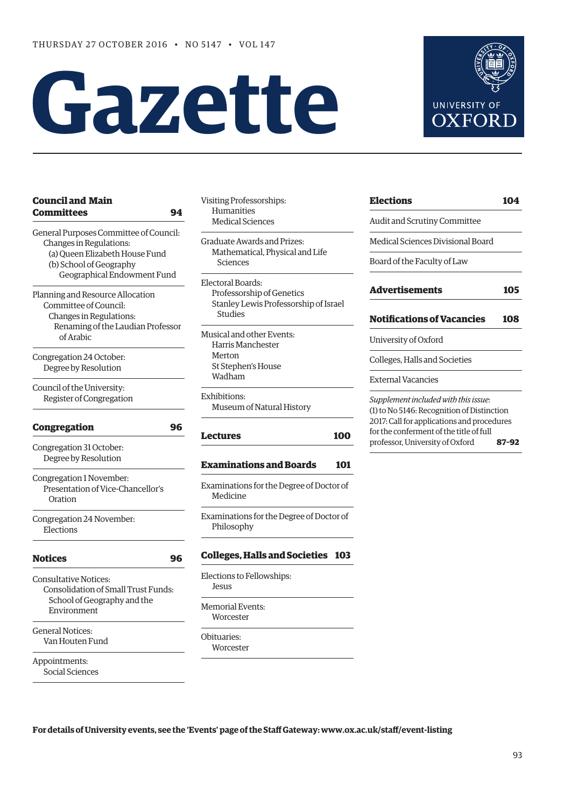# **Gazette**



| 94                                     |
|----------------------------------------|
| General Purposes Committee of Council: |
|                                        |
| (a) Queen Elizabeth House Fund         |
|                                        |
| Geographical Endowment Fund            |
|                                        |
|                                        |
|                                        |
| Renaming of the Laudian Professor      |
|                                        |
|                                        |
|                                        |
|                                        |
|                                        |
|                                        |
| 96                                     |
|                                        |
|                                        |
|                                        |
|                                        |
|                                        |
|                                        |
|                                        |
|                                        |
| 96                                     |
|                                        |
| Consolidation of Small Trust Funds:    |
|                                        |
|                                        |
|                                        |
|                                        |
|                                        |

Appointments: Social Sciences Visiting Professorships: Humanities Medical Sciences

Graduate Awards and Prizes: Mathematical, Physical and Life Sciences

Electoral Boards: Professorship of Genetics Stanley Lewis Professorship of Israel Studies

Musical and other Events: Harris Manchester Merton St Stephen's House Wadham

Exhibitions: Museum of Natural History

#### **[Lectures](#page-7-0) 100**

#### **[Examinations and Boards](#page-8-0) 101**

Examinations for the Degree of Doctor of Medicine

Examinations for the Degree of Doctor of Philosophy

#### **[Colleges, Halls and Societies](#page-10-0) 103**

Elections to Fellowships: Jesus Memorial Events:

Obituaries: **Worcester** 

Worcester

| <b>Elections</b>                  | 104 |
|-----------------------------------|-----|
| Audit and Scrutiny Committee      |     |
| Medical Sciences Divisional Board |     |
| Board of the Faculty of Law       |     |
| <b>Advertisements</b>             | 105 |
| <b>Notifications of Vacancies</b> | 108 |
| University of Oxford              |     |
| Colleges, Halls and Societies     |     |
| External Vacancies                |     |
|                                   |     |

(1) to No 5146: Recognition of Distinction 2017: Call for applications and procedures for the conferment of the title of full professor, University of Oxford **87–92**

**For details of University events, see the 'Events' page of the Staff Gateway: [www.ox.ac.uk/staff/event-listing](http://www.ox.ac.uk/staff/event-listing)**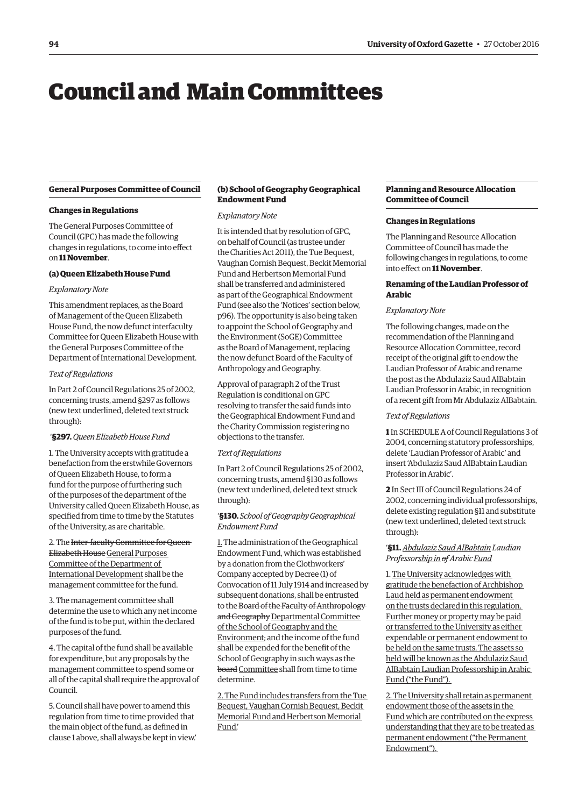## <span id="page-1-0"></span>Council and Main Committees

#### **General Purposes Committee of Council**

#### **Changes in Regulations**

The General Purposes Committee of Council (GPC) has made the following changes in regulations, to come into effect on **11 November**.

#### **(a) Queen Elizabeth House Fund**

#### *Explanatory Note*

This amendment replaces, as the Board of Management of the Queen Elizabeth House Fund, the now defunct interfaculty Committee for Queen Elizabeth House with the General Purposes Committee of the Department of International Development.

#### *Text of Regulations*

In Part 2 of Council Regulations 25 of 2002, concerning trusts, amend §297 as follows (new text underlined, deleted text struck through):

#### '**§297.***Queen Elizabeth House Fund*

1. The University accepts with gratitude a benefaction from the erstwhile Governors of Queen Elizabeth House, to form a fund for the purpose of furthering such of the purposes of the department of the University called Queen Elizabeth House, as specified from time to time by the Statutes of the University, as are charitable.

2. The Inter-faculty Committee for Queen Elizabeth House General Purposes Committee of the Department of International Development shall be the management committee for the fund.

3. The management committee shall determine the use to which any net income of the fund is to be put, within the declared purposes of the fund.

4. The capital of the fund shall be available for expenditure, but any proposals by the management committee to spend some or all of the capital shall require the approval of Council.

5. Council shall have power to amend this regulation from time to time provided that the main object of the fund, as defined in clause 1 above, shall always be kept in view.'

#### **(b) School of Geography Geographical Endowment Fund**

#### *Explanatory Note*

It is intended that by resolution of GPC, on behalf of Council (as trustee under the Charities Act 2011), the Tue Bequest, Vaughan Cornish Bequest, Beckit Memorial Fund and Herbertson Memorial Fund shall be transferred and administered as part of the Geographical Endowment Fund [\(see also the 'Notices' section below,](#page-3-0)  [p96\).](#page-3-0) The opportunity is also being taken to appoint the School of Geography and the Environment (SoGE) Committee as the Board of Management, replacing the now defunct Board of the Faculty of Anthropology and Geography.

Approval of paragraph 2 of the Trust Regulation is conditional on GPC resolving to transfer the said funds into the Geographical Endowment Fund and the Charity Commission registering no objections to the transfer.

#### *Text of Regulations*

In Part 2 of Council Regulations 25 of 2002, concerning trusts, amend §130 as follows (new text underlined, deleted text struck through):

#### '**§130.** *School of Geography Geographical Endowment Fund*

1. The administration of the Geographical Endowment Fund, which was established by a donation from the Clothworkers' Company accepted by Decree (1) of Convocation of 11 July 1914 and increased by subsequent donations, shall be entrusted to the Board of the Faculty of Anthropology and Geography Departmental Committee of the School of Geography and the Environment; and the income of the fund shall be expended for the benefit of the School of Geography in such ways as the board Committee shall from time to time determine.

2. The Fund includes transfers from the Tue Bequest, Vaughan Cornish Bequest, Beckit Memorial Fund and Herbertson Memorial Fund.'

#### **Planning and Resource Allocation Committee of Council**

#### **Changes in Regulations**

The Planning and Resource Allocation Committee of Council has made the following changes in regulations, to come into effect on **11 November**.

#### **Renaming of the Laudian Professor of Arabic**

#### *Explanatory Note*

The following changes, made on the recommendation of the Planning and Resource Allocation Committee, record receipt of the original gift to endow the Laudian Professor of Arabic and rename the post as the Abdulaziz Saud AlBabtain Laudian Professor in Arabic, in recognition of a recent gift from Mr Abdulaziz AlBabtain.

#### *Text of Regulations*

**1** In SCHEDULE A of Council Regulations 3 of 2004, concerning statutory professorships, delete 'Laudian Professor of Arabic' and insert 'Abdulaziz Saud AlBabtain Laudian Professor in Arabic'.

**2** In Sect III of Council Regulations 24 of 2002, concerning individual professorships, delete existing regulation §11 and substitute (new text underlined, deleted text struck through):

#### '**§11.***Abdulaziz Saud AlBabtain Laudian Professorship in of Arabic Fund*

1. The University acknowledges with gratitude the benefaction of Archbishop Laud held as permanent endowment on the trusts declared in this regulation. Further money or property may be paid or transferred to the University as either expendable or permanent endowment to be held on the same trusts. The assets so held will be known as the Abdulaziz Saud AlBabtain Laudian Professorship in Arabic Fund ("the Fund").

2. The University shall retain as permanent endowment those of the assets in the Fund which are contributed on the express understanding that they are to be treated as permanent endowment ("the Permanent Endowment").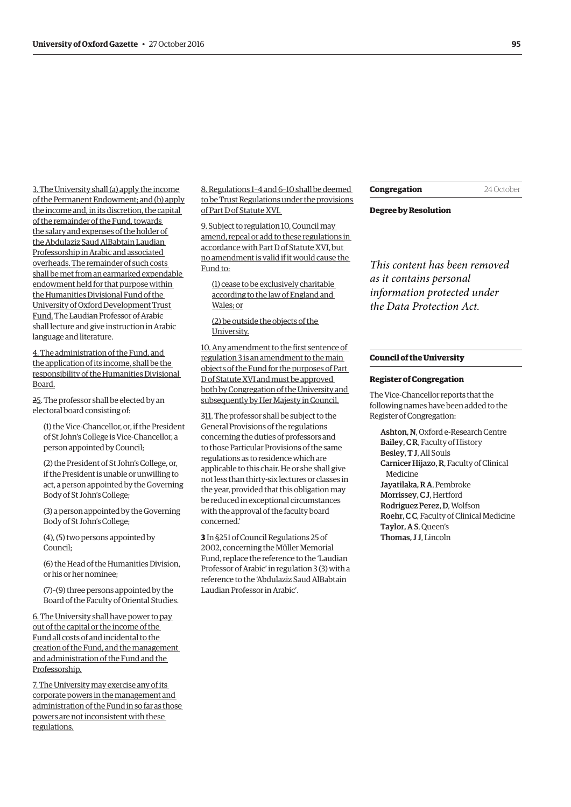3. The University shall (a) apply the income of the Permanent Endowment; and (b) apply the income and, in its discretion, the capital of the remainder of the Fund, towards the salary and expenses of the holder of the Abdulaziz Saud AlBabtain Laudian Professorship in Arabic and associated overheads. The remainder of such costs shall be met from an earmarked expendable endowment held for that purpose within the Humanities Divisional Fund of the University of Oxford Development Trust Fund. The Laudian Professor of Arabic shall lecture and give instruction in Arabic language and literature.

4. The administration of the Fund, and the application of its income, shall be the responsibility of the Humanities Divisional Board.

25. The professor shall be elected by an electoral board consisting of:

(1) the Vice-Chancellor, or, if the President of St John's College is Vice-Chancellor, a person appointed by Council;

(2) the President of St John's College, or, if the President is unable or unwilling to act, a person appointed by the Governing Body of St John's College;

(3) a person appointed by the Governing Body of St John's College;

(4), (5) two persons appointed by Council;

(6) the Head of the Humanities Division, or his or her nominee;

(7)–(9) three persons appointed by the Board of the Faculty of Oriental Studies.

6. The University shall have power to pay out of the capital or the income of the Fund all costs of and incidental to the creation of the Fund, and the management and administration of the Fund and the Professorship.

7. The University may exercise any of its corporate powers in the management and administration of the Fund in so far as those powers are not inconsistent with these regulations.

8. Regulations 1–4 and 6–10 shall be deemed to be Trust Regulations under the provisions of Part D of Statute XVI.

9. Subject to regulation 10, Council may amend, repeal or add to these regulations in accordance with Part D of Statute XVI, but no amendment is valid if it would cause the Fund to:

(1) cease to be exclusively charitable according to the law of England and Wales; or

(2) be outside the objects of the University.

10. Any amendment to the first sentence of regulation 3 is an amendment to the main objects of the Fund for the purposes of Part D of Statute XVI and must be approved both by Congregation of the University and subsequently by Her Majesty in Council.

311. The professor shall be subject to the General Provisions of the regulations concerning the duties of professors and to those Particular Provisions of the same regulations as to residence which are applicable to this chair. He or she shall give not less than thirty-six lectures or classes in the year, provided that this obligation may be reduced in exceptional circumstances with the approval of the faculty board concerned.'

**3** In §251 of Council Regulations 25 of 2002, concerning the Müller Memorial Fund, replace the reference to the 'Laudian Professor of Arabic' in regulation 3 (3) with a reference to the 'Abdulaziz Saud AlBabtain Laudian Professor in Arabic'.

**Congregation** 24 October

**Degree by Resolution**

*This content has been removed as it contains personal information protected under the Data Protection Act.*

#### **Council of the University**

#### **Register of Congregation**

The Vice-Chancellor reports that the following names have been added to the Register of Congregation:

Ashton, N, Oxford e-Research Centre Bailey, C R, Faculty of History Besley, T J, All Souls Carnicer Hijazo, R, Faculty of Clinical Medicine Jayatilaka, R A, Pembroke Morrissey, C J, Hertford Rodriguez Perez, D, Wolfson Roehr, C C, Faculty of Clinical Medicine Taylor, A S, Queen's Thomas, J J, Lincoln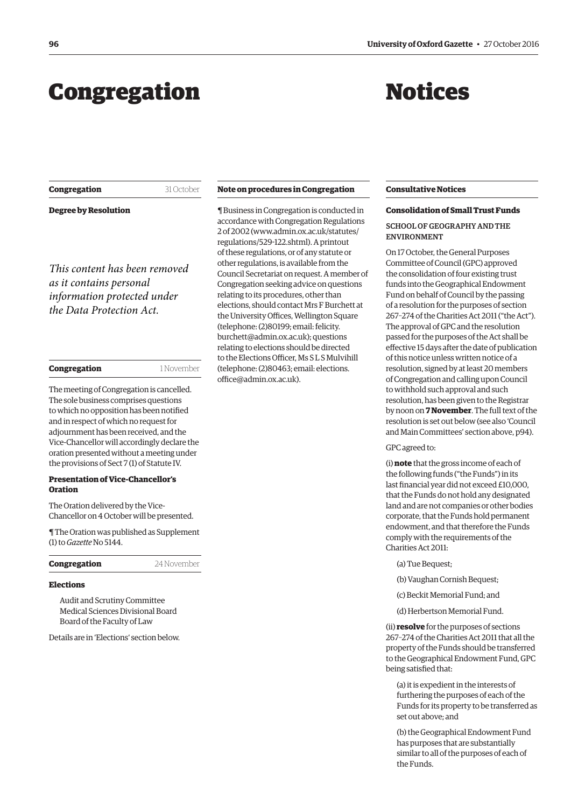## <span id="page-3-0"></span>Congregation

**Congregation** 31 October

## Notices

| <b>Degree by Resolution</b>                                                                                         |            |
|---------------------------------------------------------------------------------------------------------------------|------------|
| This content has been removed<br>as it contains personal<br>information protected under<br>the Data Protection Act. |            |
| Congregation                                                                                                        | 1 November |

The meeting of Congregation is cancelled. The sole business comprises questions to which no opposition has been notified and in respect of which no request for adjournment has been received, and the Vice-Chancellor will accordingly declare the oration presented without a meeting under the provisions of Sect 7 (1) of Statute IV.

#### **Presentation of Vice-Chancellor's Oration**

The Oration delivered by the Vice-Chancellor on 4 October will be presented.

[¶ The Oration was published as Supplement](http://www.ox.ac.uk/gazette/2016-2017/13october2016-no5145/supplements/)  (1) to *Gazette* No 5144.

**Congregation** 24 November

#### **Elections**

Audit and Scrutiny Committee Medical Sciences Divisional Board Board of the Faculty of Law

Details are in ['Elections'](#page-11-0) section below.

#### **Note on procedures in Congregation**

¶ Business in Congregation is conducted in accordance with Congregation Regulations 2 of 2002 [\(www.admin.ox.ac.uk/statutes/](http://www.admin.ox.ac.uk/statutes/regulations/529-122.shtml) [regulations/529-122.shtml\). A p](http://www.admin.ox.ac.uk/statutes/regulations/529-122.shtml)rintout of these regulations, or of any statute or other regulations, is available from the Council Secretariat on request. A member of Congregation seeking advice on questions relating to its procedures, other than elections, should contact Mrs F Burchett at the University Offices, Wellington Square (telephone: (2)80199; email: felicity. [burchett@admin.ox.ac.uk\); questions](mailto:felicity.burchett@admin.ox.ac.uk)  relating to elections should be directed to the Elections Officer, Ms S L S Mulvihill [\(telephone: \(2\)80463; email: elections.](mailto:elections.office@admin.ox.ac.uk) office@admin.ox.ac.uk).

#### **Consultative Notices**

#### **Consolidation of Small Trust Funds**

#### SCHOOL OF GEOGRAPHY AND THE ENVIRONMENT

On 17 October, the General Purposes Committee of Council (GPC) approved the consolidation of four existing trust funds into the Geographical Endowment Fund on behalf of Council by the passing of a resolution for the purposes of section 267–274 of the Charities Act 2011 ("the Act"). The approval of GPC and the resolution passed for the purposes of the Act shall be effective 15 days after the date of publication of this notice unless written notice of a resolution, signed by at least 20 members of Congregation and calling upon Council to withhold such approval and such resolution, has been given to the Registrar by noon on **7 November**. The full text of the resolution is set out below (see also ['Council](#page-1-0)  [and Main Committees' section above, p94](#page-1-0)).

#### GPC agreed to:

(i) **note** that the gross income of each of the following funds ("the Funds") in its last financial year did not exceed £10,000, that the Funds do not hold any designated land and are not companies or other bodies corporate, that the Funds hold permanent endowment, and that therefore the Funds comply with the requirements of the Charities Act 2011:

- (a) Tue Bequest;
- (b) Vaughan Cornish Bequest;
- (c) Beckit Memorial Fund; and
- (d) Herbertson Memorial Fund.

(ii) **resolve** for the purposes of sections 267–274 of the Charities Act 2011 that all the property of the Funds should be transferred to the Geographical Endowment Fund, GPC being satisfied that:

(a) it is expedient in the interests of furthering the purposes of each of the Funds for its property to be transferred as set out above; and

(b) the Geographical Endowment Fund has purposes that are substantially similar to all of the purposes of each of the Funds.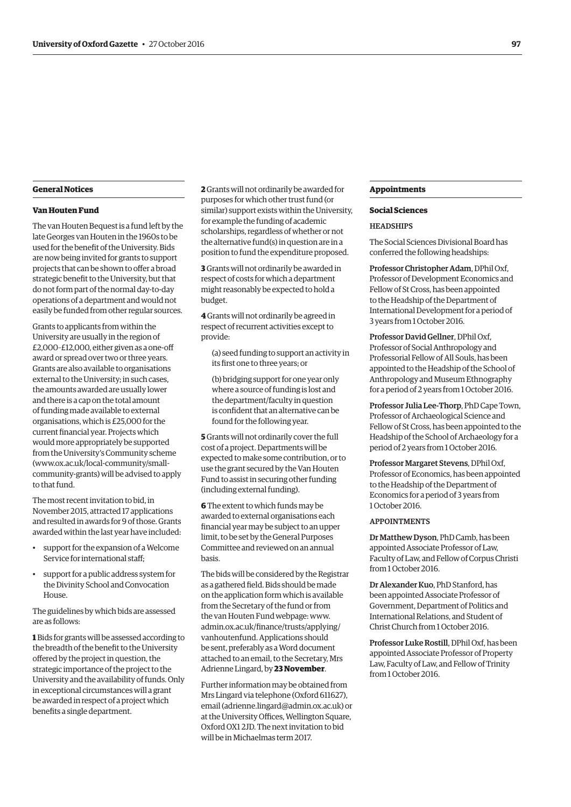#### **General Notices**

#### **Van Houten Fund**

The van Houten Bequest is a fund left by the late Georges van Houten in the 1960s to be used for the benefit of the University. Bids are now being invited for grants to support projects that can be shown to offer a broad strategic benefit to the University, but that do not form part of the normal day-to-day operations of a department and would not easily be funded from other regular sources.

Grants to applicants from within the University are usually in the region of £2,000–£12,000, either given as a one-off award or spread over two or three years. Grants are also available to organisations external to the University; in such cases, the amounts awarded are usually lower and there is a cap on the total amount of funding made available to external organisations, which is £25,000 for the current financial year. Projects which would more appropriately be supported from the University's Community scheme (www.ox.ac.uk/local-community/small[community-grants\) will be advised to apply](www.ox.ac.uk/local-community/small-community-grants)  to that fund.

The most recent invitation to bid, in November 2015, attracted 17 applications and resulted in awards for 9 of those. Grants awarded within the last year have included:

- support for the expansion of a Welcome Service for international staff;
- support for a public address system for the Divinity School and Convocation House.

The guidelines by which bids are assessed are as follows:

**1** Bids for grants will be assessed according to the breadth of the benefit to the University offered by the project in question, the strategic importance of the project to the University and the availability of funds. Only in exceptional circumstances will a grant be awarded in respect of a project which benefits a single department.

**2** Grants will not ordinarily be awarded for purposes for which other trust fund (or similar) support exists within the University, for example the funding of academic scholarships, regardless of whether or not the alternative fund(s) in question are in a position to fund the expenditure proposed.

**3** Grants will not ordinarily be awarded in respect of costs for which a department might reasonably be expected to hold a budget.

**4** Grants will not ordinarily be agreed in respect of recurrent activities except to provide:

(a) seed funding to support an activity in its first one to three years; or

(b) bridging support for one year only where a source of funding is lost and the department/faculty in question is confident that an alternative can be found for the following year.

**5** Grants will not ordinarily cover the full cost of a project. Departments will be expected to make some contribution, or to use the grant secured by the Van Houten Fund to assist in securing other funding (including external funding).

**6** The extent to which funds may be awarded to external organisations each financial year may be subject to an upper limit, to be set by the General Purposes Committee and reviewed on an annual basis.

The bids will be considered by the Registrar as a gathered field. Bids should be made on the application form which is available from the Secretary of the fund or from the van Houten Fund webpage: www. [admin.ox.ac.uk/finance/trusts/applying/](www.admin.ox.ac.uk/finance/trusts/applying/vanhoutenfund) vanhoutenfund. Applications should be sent, preferably as a Word document attached to an email, to the Secretary, Mrs Adrienne Lingard, by **23 November**.

Further information may be obtained from Mrs Lingard via telephone (Oxford 611627), email ([adrienne.lingard@admin.ox.ac.uk\) or](mailto:adrienne.lingard@admin.ox.ac.uk) at the University Offices, Wellington Square, Oxford OX1 2JD. The next invitation to bid will be in Michaelmas term 2017.

#### **Appointments**

#### **Social Sciences**

#### **HEADSHIPS**

The Social Sciences Divisional Board has conferred the following headships:

Professor Christopher Adam, DPhil Oxf, Professor of Development Economics and Fellow of St Cross, has been appointed to the Headship of the Department of International Development for a period of 3 years from 1 October 2016.

Professor David Gellner, DPhil Oxf, Professor of Social Anthropology and Professorial Fellow of All Souls, has been appointed to the Headship of the School of Anthropology and Museum Ethnography for a period of 2 years from 1 October 2016.

Professor Julia Lee-Thorp, PhD Cape Town, Professor of Archaeological Science and Fellow of St Cross, has been appointed to the Headship of the School of Archaeology for a period of 2 years from 1 October 2016.

Professor Margaret Stevens, DPhil Oxf, Professor of Economics, has been appointed to the Headship of the Department of Economics for a period of 3 years from 1 October 2016.

#### APPOINTMENTS

Dr Matthew Dyson, PhD Camb, has been appointed Associate Professor of Law, Faculty of Law, and Fellow of Corpus Christi from 1 October 2016.

Dr Alexander Kuo, PhD Stanford, has been appointed Associate Professor of Government, Department of Politics and International Relations, and Student of Christ Church from 1 October 2016.

Professor Luke Rostill, DPhil Oxf, has been appointed Associate Professor of Property Law, Faculty of Law, and Fellow of Trinity from 1 October 2016.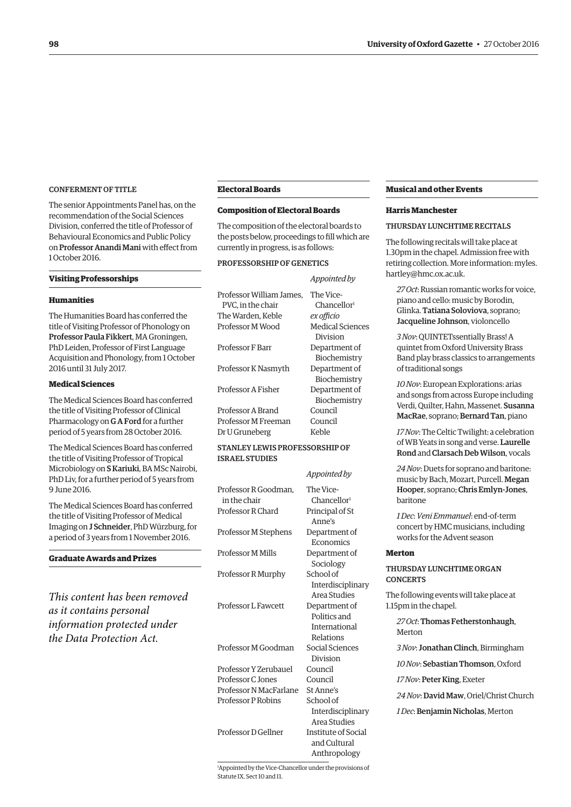#### CONFERMENT OF TITLE

The senior Appointments Panel has, on the recommendation of the Social Sciences Division, conferred the title of Professor of Behavioural Economics and Public Policy on Professor Anandi Mani with effect from 1 October 2016.

#### **Visiting Professorships**

#### **Humanities**

The Humanities Board has conferred the title of Visiting Professor of Phonology on Professor Paula Fikkert, MA Groningen, PhD Leiden, Professor of First Language Acquisition and Phonology, from 1 October 2016 until 31 July 2017.

#### **Medical Sciences**

The Medical Sciences Board has conferred the title of Visiting Professor of Clinical Pharmacology on G A Ford for a further period of 5 years from 28 October 2016.

The Medical Sciences Board has conferred the title of Visiting Professor of Tropical Microbiology on S Kariuki, BA MSc Nairobi, PhD Liv, for a further period of 5 years from 9 June 2016.

The Medical Sciences Board has conferred the title of Visiting Professor of Medical Imaging on J Schneider, PhD Würzburg, for a period of 3 years from 1 November 2016.

#### **Graduate Awards and Prizes**

*This content has been removed as it contains personal information protected under the Data Protection Act.*

#### **Electoral Boards**

#### **Composition of Electoral Boards**

The composition of the electoral boards to the posts below, proceedings to fill which are currently in progress, is as follows:

#### PROFESSORSHIP OF GENETICS

|                          | Appointed by            |
|--------------------------|-------------------------|
| Professor William James. | The Vice-               |
| PVC. in the chair        | Chancellor <sup>1</sup> |
| The Warden. Keble        | ex officio              |
| Professor M Wood         | Medical Sciences        |
|                          | Division                |
| <b>Professor F Barr</b>  | Department of           |
|                          | Biochemistry            |
| Professor K Nasmyth      | Department of           |
|                          | Biochemistry            |
| Professor A Fisher       | Department of           |
|                          | Biochemistry            |
| Professor A Brand        | Council                 |
| Professor M Freeman      | Council                 |
| Dr U Gruneberg           | Keble                   |
|                          |                         |

#### STANLEY LEWIS PROFESSORSHIP OF ISRAEL STUDIES

|                                      | Appointed by                                                          |
|--------------------------------------|-----------------------------------------------------------------------|
| Professor R Goodman,<br>in the chair | The Vice-<br>Chancellor <sup>1</sup>                                  |
| Professor R Chard                    | Principal of St<br>Anne's                                             |
| Professor M Stephens                 | Department of<br>Economics                                            |
| Professor M Mills                    | Department of<br>Sociology                                            |
| Professor R Murphy                   | School of<br>Interdisciplinary                                        |
| Professor L Fawcett                  | Area Studies<br>Department of<br>Politics and<br><b>International</b> |
| Professor M Goodman                  | Relations<br>Social Sciences<br>Division                              |
| Professor Y Zerubauel                | Council                                                               |
| <b>Professor C</b> Jones             | Council                                                               |
| Professor N MacFarlane               | St Anne's                                                             |
| <b>Professor P Robins</b>            | School of                                                             |
|                                      | Interdisciplinary<br>Area Studies                                     |
| Professor D Gellner                  | <b>Institute of Social</b><br>and Cultural<br>Anthropology            |

**Musical and other Events** 

#### **Harris Manchester**

#### THURSDAY LUNCHTIME RECITALS

The following recitals will take place at 1.30pm in the chapel. Admission free with [retiring collection. More information: myles.](mailto:myles.hartley@hmc.ox.ac.uk) hartley@hmc.ox.ac.uk.

*27 Oct*: Russian romantic works for voice, piano and cello: music by Borodin, Glinka. Tatiana Soloviova, soprano; Jacqueline Johnson, violoncello

*3 Nov*: QUINTETssentially Brass! A quintet from Oxford University Brass Band play brass classics to arrangements of traditional songs

*10 Nov*: European Explorations: arias and songs from across Europe including Verdi, Quilter, Hahn, Massenet. Susanna MacRae, soprano; Bernard Tan, piano

*17 Nov*: The Celtic Twilight: a celebration of WB Yeats in song and verse. Laurelle Rond and Clarsach Deb Wilson, vocals

*24 Nov*: Duets for soprano and baritone: music by Bach, Mozart, Purcell. Megan Hooper, soprano; Chris Emlyn-Jones, baritone

*1 Dec*: *Veni Emmanuel*: end-of-term concert by HMC musicians, including works for the Advent season

#### **Merton**

#### THURSDAY LUNCHTIME ORGAN **CONCERTS**

The following events will take place at 1.15pm in the chapel.

*27 Oct*: Thomas Fetherstonhaugh, Merton

*3 Nov*: Jonathan Clinch, Birmingham

*10 Nov*: Sebastian Thomson, Oxford

*17 Nov*: Peter King, Exeter

*24 Nov*: David Maw, Oriel/Christ Church

*1 Dec*: Benjamin Nicholas, Merton

1 Appointed by the Vice-Chancellor under the provisions of Statute IX, Sect 10 and 11.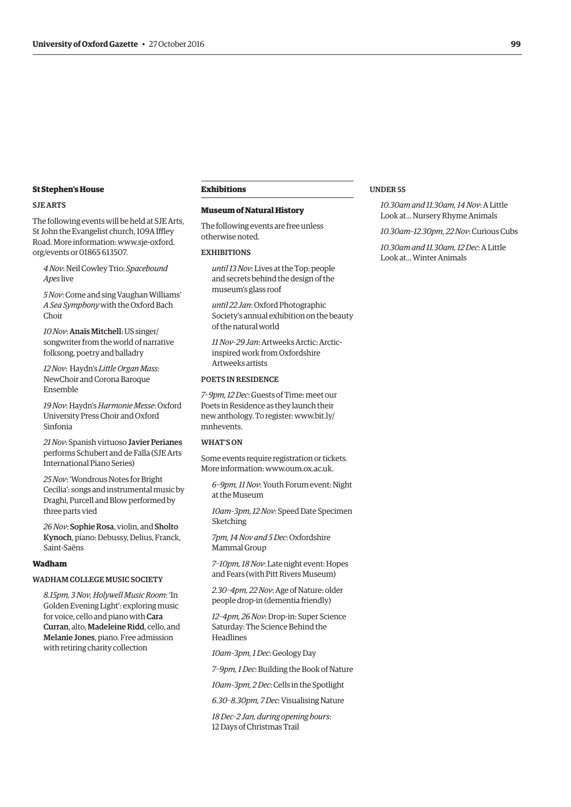#### **St Stephen's House**

#### SJE ARTS

The following events will be held at SJE Arts, St John the Evangelist church, 109A Iffley [Road. More information: www.sje-oxford.](http://www.sje-oxford.org/events) org/events or 01865 613507.

*4 Nov*: Neil Cowley Trio: *Spacebound Apes* live

*5 Nov*: Come and sing Vaughan Williams' *A Sea Symphony* with the Oxford Bach Choir

*10 Nov*:Anaïs Mitchell: US singer/ songwriter from the world of narrative folksong, poetry and balladry

*12 Nov*: Haydn's *Little Organ Mass*: NewChoir and Corona Baroque Ensemble

*19 Nov*: Haydn's *Harmonie Messe*: Oxford University Press Choir and Oxford Sinfonia

*21 Nov*: Spanish virtuoso Javier Perianes performs Schubert and de Falla (SJE Arts International Piano Series)

*25 Nov*: 'Wondrous Notes for Bright Cecilia': songs and instrumental music by Draghi, Purcell and Blow performed by three parts vied

*26 Nov*: Sophie Rosa, violin, and Sholto Kynoch, piano: Debussy, Delius, Franck, Saint-Saëns

#### **Wadham**

#### WADHAM COLLEGE MUSIC SOCIETY

*8.15pm, 3 Nov, Holywell Music Room*: 'In Golden Evening Light': exploring music for voice, cello and piano with Cara Curran, alto, Madeleine Ridd, cello, and Melanie Jones, piano. Free admission with retiring charity collection

#### **Exhibitions**

#### **Museum of Natural History**

The following events are free unless otherwise noted.

#### **EXHIBITIONS**

*until 13 Nov*: Lives at the Top: people and secrets behind the design of the museum's glass roof

*until 22 Jan*: Oxford Photographic Society's annual exhibition on the beauty of the natural world

*11 Nov–29 Jan*: Artweeks Arctic: Arcticinspired work from Oxfordshire Artweeks artists

#### POETS IN RESIDENCE

*7–9pm, 12 Dec*: Guests of Time: meet our Poets in Residence as they launch their [new anthology. To register: www.bit.ly/](www.bit.ly/mnhevents) mnhevents.

#### WHAT'S ON

Some events require registration or tickets. More information: [www.oum.ox.ac.uk.](http://www.oum.ox.ac.uk)

*6–9pm, 11 Nov*: Youth Forum event: Night at the Museum

*10am–3pm, 12 Nov*: Speed Date Specimen Sketching

*7pm, 14 Nov and 5 Dec*: Oxfordshire Mammal Group

*7–10pm, 18 Nov*: Late night event: Hopes and Fears (with Pitt Rivers Museum)

*2.30–4pm, 22 Nov*: Age of Nature: older people drop-in (dementia friendly)

*12–4pm, 26 Nov*: Drop-in: Super Science Saturday: The Science Behind the Headlines

*10am–3pm, 1 Dec*: Geology Day

*7–9pm, 1 Dec*: Building the Book of Nature

*10am–3pm, 2 Dec*: Cells in the Spotlight

*6.30–8.30pm, 7 Dec*: Visualising Nature

*18 Dec–2 Jan, during opening hours*: 12 Days of Christmas Trail

#### UNDER 5S

*10.30am and 11.30am, 14 Nov*: A Little Look at... Nursery Rhyme Animals

*10.30am–12.30pm, 22 Nov*: Curious Cubs

*10.30am and 11.30am, 12 Dec*: A Little Look at... Winter Animals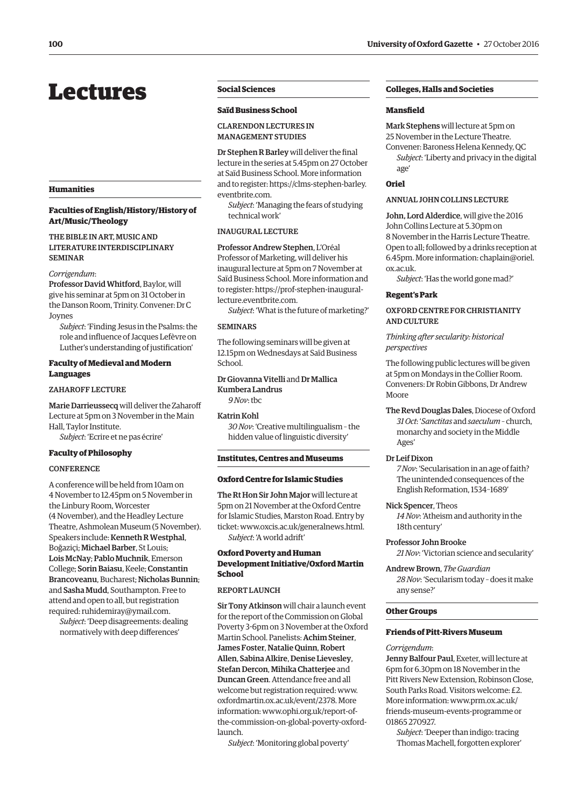## <span id="page-7-0"></span>Lectures

#### **Humanities**

#### **Faculties of English/History/History of Art/Music/Theology**

#### THE BIBLE IN ART, MUSIC AND LITERATURE INTERDISCIPLINARY SEMINAR

#### *Corrigendum*:

Professor David Whitford, Baylor, will give his seminar at 5pm on 31 October in the Danson Room, Trinity. Convener: Dr C Joynes

*Subject*: 'Finding Jesus in the Psalms: the role and influence of Jacques Lefèvre on Luther's understanding of justification'

#### **Faculty of Medieval and Modern Languages**

#### ZAHAROFF LECTURE

Marie Darrieussecq will deliver the Zaharoff Lecture at 5pm on 3 November in the Main Hall, Taylor Institute. *Subject*: 'Ecrire et ne pas écrire'

**Faculty of Philosophy**

#### **CONFERENCE**

A conference will be held from 10am on 4 November to 12.45pm on 5 November in the Linbury Room, Worcester (4 November), and the Headley Lecture Theatre, Ashmolean Museum (5 November). Speakers include: Kenneth R Westphal, Boğaziçi; Michael Barber, St Louis; Lois McNay; Pablo Muchnik, Emerson College; Sorin Baiasu, Keele; Constantin Brancoveanu, Bucharest; Nicholas Bunnin; and Sasha Mudd, Southampton. Free to attend and open to all, but registration required: [ruhidemiray@ymail.com.](mailto:ruhidemiray@ymail.com)

*Subject*: 'Deep disagreements: dealing normatively with deep differences'

#### **Social Sciences**

#### **Saïd Business School**

#### CLARENDON LECTURES IN MANAGEMENT STUDIES

Dr Stephen R Barley will deliver the final lecture in the series at 5.45pm on 27 October at Saïd Business School. More information [and to register: https://clms-stephen-barley.](https://clms-stephen-barley.eventbrite.com) eventbrite.com.

*Subject*: 'Managing the fears of studying technical work'

#### INAUGURAL LECTURE

Professor Andrew Stephen, L'Oréal Professor of Marketing, will deliver his inaugural lecture at 5pm on 7 November at Saïd Business School. More information and [to register: https://prof-stephen-inaugural](https://prof-stephen-inaugural-lecture.eventbrite.com)lecture.eventbrite.com.

*Subject*: 'What is the future of marketing?'

#### **SEMINARS**

The following seminars will be given at 12.15pm on Wednesdays at Saïd Business School.

Dr Giovanna Vitelli and Dr Mallica Kumbera Landrus *9 Nov*: tbc

#### Katrin Kohl

*30 Nov*: 'Creative multilingualism – the hidden value of linguistic diversity'

#### **Institutes, Centres and Museums**

#### **Oxford Centre for Islamic Studies**

The Rt Hon Sir John Major will lecture at 5pm on 21 November at the Oxford Centre for Islamic Studies, Marston Road. Entry by ticket: [www.oxcis.ac.uk/generalnews.html.](http://www.oxcis.ac.uk/generalnews.html) *Subject*: 'A world adrift'

#### **Oxford Poverty and Human Development Initiative/Oxford Martin School**

#### REPORT LAUNCH

Sir Tony Atkinson will chair a launch event for the report of the Commission on Global Poverty 3-6pm on 3 November at the Oxford Martin School. Panelists: Achim Steiner, James Foster, Natalie Quinn, Robert Allen, Sabina Alkire, Denise Lievesley, Stefan Dercon, Mihika Chatterjee and Duncan Green. Attendance free and all [welcome but registration required: www.](www.oxfordmartin.ox.ac.uk/event/2378) oxfordmartin.ox.ac.uk/event/2378. More information: www.ophi.org.uk/report-of[the-commission-on-global-poverty-oxford](www.ophi.org.uk/report-of-the-commission-on-global-poverty-oxford-launch)launch.

*Subject*: 'Monitoring global poverty'

#### **Colleges, Halls and Societies**

#### **Mansfield**

Mark Stephens will lecture at 5pm on 25 November in the Lecture Theatre.

Convener: Baroness Helena Kennedy, QC *Subject*: 'Liberty and privacy in the digital age'

### **Oriel**

#### ANNUAL JOHN COLLINS LECTURE

John, Lord Alderdice, will give the 2016 John Collins Lecture at 5.30pm on 8 November in the Harris Lecture Theatre. Open to all; followed by a drinks reception at [6.45pm. More information: chaplain@oriel.](mailto:chaplain@oriel.ox.ac.uk) ox.ac.uk.

*Subject*: 'Has the world gone mad?'

#### **Regent's Park**

#### OXFORD CENTRE FOR CHRISTIANITY AND CULTURE

*Thinking after secularity: historical perspectives*

The following public lectures will be given at 5pm on Mondays in the Collier Room. Conveners: Dr Robin Gibbons, Dr Andrew Moore

The Revd Douglas Dales, Diocese of Oxford *31 Oct*: '*Sanctitas* and *saeculum* – church, monarchy and society in the Middle Ages'

#### Dr Leif Dixon

*7 Nov*: 'Secularisation in an age of faith? The unintended consequences of the English Reformation, 1534–1689'

Nick Spencer, Theos

*14 Nov*: 'Atheism and authority in the 18th century'

Professor John Brooke

*21 Nov*: 'Victorian science and secularity'

Andrew Brown, *The Guardian 28 Nov*: 'Secularism today – does it make any sense?'

#### **Other Groups**

#### **Friends of Pitt-Rivers Museum**

#### *Corrigendum*:

Jenny Balfour Paul, Exeter, will lecture at 6pm for 6.30pm on 18 November in the Pitt Rivers New Extension, Robinson Close, South Parks Road. Visitors welcome: £2. More information: www.prm.ox.ac.uk/ [friends-museum-events-programme or](www.prm.ox.ac.uk/friends-museum-events-programme)  01865 270927.

*Subject*: 'Deeper than indigo: tracing Thomas Machell, forgotten explorer'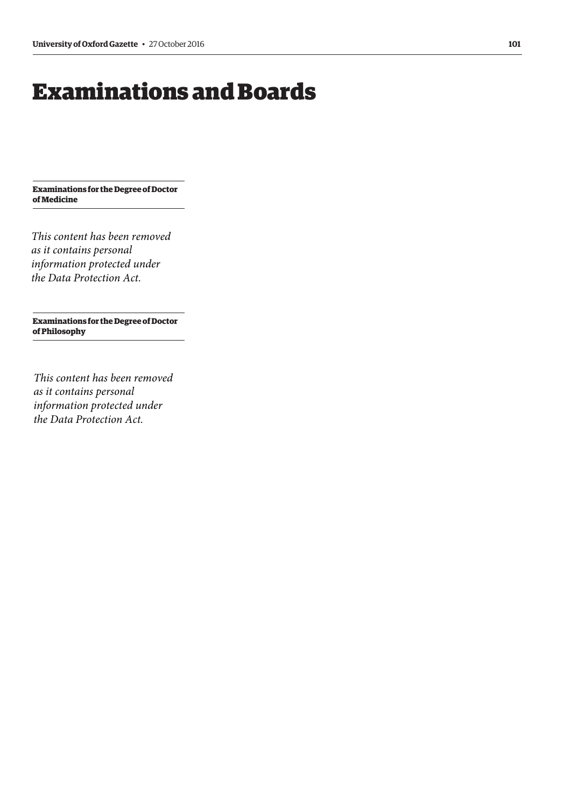## <span id="page-8-0"></span>Examinations and Boards

**Examinations for the Degree of Doctor of Medicine**

*This content has been removed as it contains personal information protected under the Data Protection Act.*

**Examinations for the Degree of Doctor of Philosophy**

*This content has been removed as it contains personal information protected under the Data Protection Act.*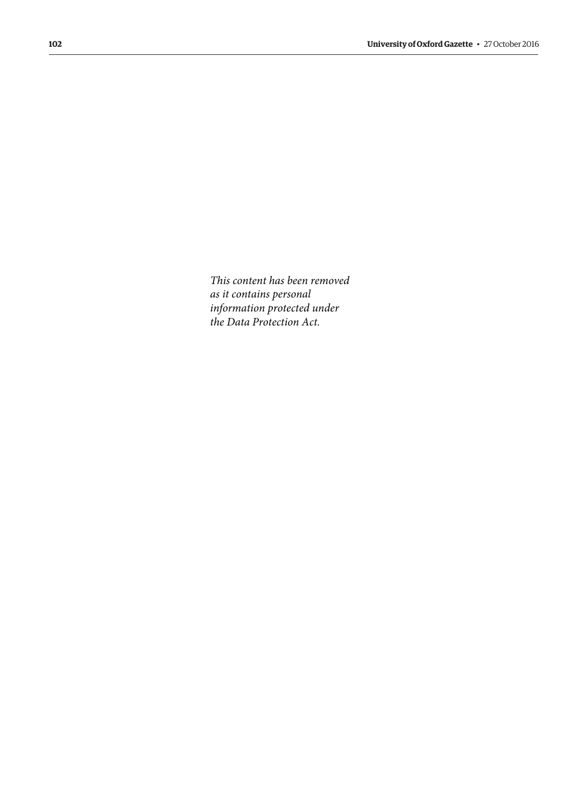*This content has been removed as it contains personal information protected under the Data Protection Act.*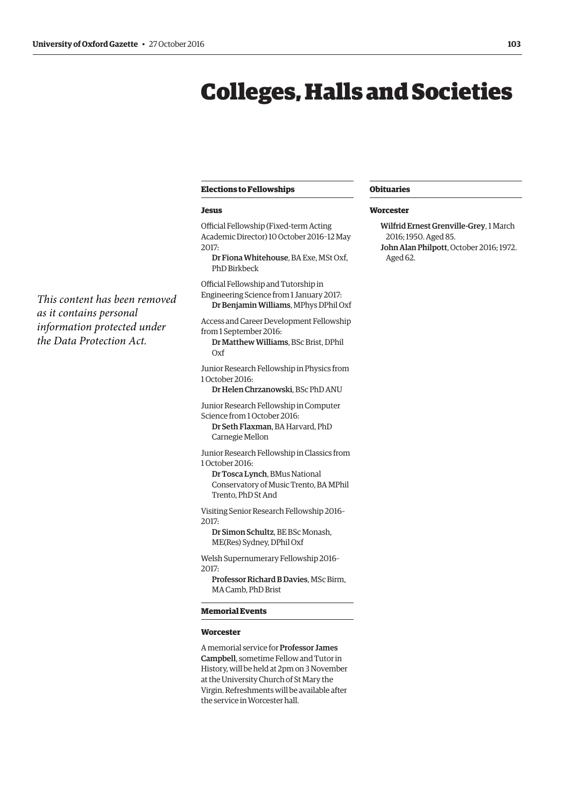*This content has been removed*

*information protected under the Data Protection Act.*

*as it contains personal*

## <span id="page-10-0"></span>Colleges, Halls and Societies

#### **Elections to Fellowships**

#### **Jesus**

Official Fellowship (Fixed-term Acting Academic Director) 10 October 2016–12 May 2017:

Dr Fiona Whitehouse, BA Exe, MSt Oxf, PhD Birkbeck

Official Fellowship and Tutorship in Engineering Science from 1 January 2017: Dr Benjamin Williams, MPhys DPhil Oxf

Access and Career Development Fellowship from 1 September 2016:

Dr Matthew Williams, BSc Brist, DPhil Oxf

Junior Research Fellowship in Physics from 1 October 2016:

Dr Helen Chrzanowski, BSc PhD ANU

Junior Research Fellowship in Computer Science from 1 October 2016: Dr Seth Flaxman, BA Harvard, PhD

Carnegie Mellon

Junior Research Fellowship in Classics from 1 October 2016:

Dr Tosca Lynch, BMus National Conservatory of Music Trento, BA MPhil Trento, PhD St And

Visiting Senior Research Fellowship 2016– 2017:

Dr Simon Schultz, BE BSc Monash, ME(Res) Sydney, DPhil Oxf

Welsh Supernumerary Fellowship 2016– 2017:

Professor Richard B Davies, MSc Birm, MA Camb, PhD Brist

#### **Memorial Events**

#### **Worcester**

A memorial service for Professor James Campbell, sometime Fellow and Tutor in History, will be held at 2pm on 3 November at the University Church of St Mary the Virgin. Refreshments will be available after the service in Worcester hall.

#### **Obituaries**

#### **Worcester**

Wilfrid Ernest Grenville-Grey, 1 March 2016; 1950. Aged 85. John Alan Philpott, October 2016; 1972. Aged 62.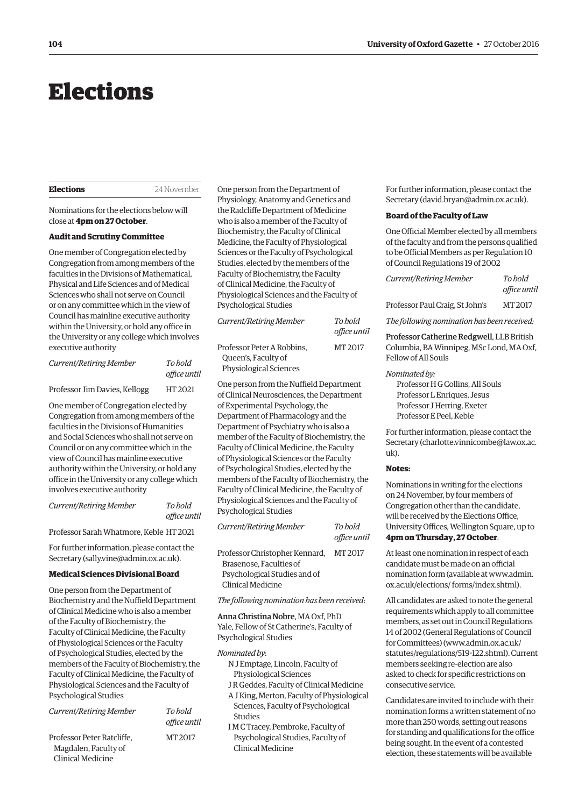## <span id="page-11-0"></span>Elections

**Elections** 24 November

Nominations for the elections below will close at **4pm on 27 October**.

#### **Audit and Scrutiny Committee**

One member of Congregation elected by Congregation from among members of the faculties in the Divisions of Mathematical, Physical and Life Sciences and of Medical Sciences who shall not serve on Council or on any committee which in the view of Council has mainline executive authority within the University, or hold any office in the University or any college which involves executive authority

| Current/Retiring Member       | To hold<br>office until |
|-------------------------------|-------------------------|
| Professor Jim Davies, Kellogg | HT 2021                 |

One member of Congregation elected by Congregation from among members of the faculties in the Divisions of Humanities and Social Sciences who shall not serve on Council or on any committee which in the view of Council has mainline executive authority within the University, or hold any office in the University or any college which involves executive authority

*Current/Retiring Member To hold* 

Professor Sarah Whatmore, Keble HT 2021

*office until*

For further information, please contact the Secretary [\(sally.vine@admin.ox.ac.uk\).](mailto:sally.vine@admin.ox.ac.uk)

#### **Medical Sciences Divisional Board**

One person from the Department of Biochemistry and the Nuffield Department of Clinical Medicine who is also a member of the Faculty of Biochemistry, the Faculty of Clinical Medicine, the Faculty of Physiological Sciences or the Faculty of Psychological Studies, elected by the members of the Faculty of Biochemistry, the Faculty of Clinical Medicine, the Faculty of Physiological Sciences and the Faculty of Psychological Studies

| Current/Retiring Member                                                 | To hold<br>office until |
|-------------------------------------------------------------------------|-------------------------|
| Professor Peter Ratcliffe.<br>Magdalen, Faculty of<br>Clinical Medicine | MT 2017                 |

One person from the Department of Physiology, Anatomy and Genetics and the Radcliffe Department of Medicine who is also a member of the Faculty of Biochemistry, the Faculty of Clinical Medicine, the Faculty of Physiological Sciences or the Faculty of Psychological Studies, elected by the members of the Faculty of Biochemistry, the Faculty of Clinical Medicine, the Faculty of Physiological Sciences and the Faculty of Psychological Studies

| Current/Retiring Member                                                            | To hold<br>office until |
|------------------------------------------------------------------------------------|-------------------------|
| Professor Peter A Robbins.<br>Queen's, Faculty of<br><b>Physiological Sciences</b> | MT 2017                 |

One person from the Nuffield Department of Clinical Neurosciences, the Department of Experimental Psychology, the Department of Pharmacology and the Department of Psychiatry who is also a member of the Faculty of Biochemistry, the Faculty of Clinical Medicine, the Faculty of Physiological Sciences or the Faculty of Psychological Studies, elected by the members of the Faculty of Biochemistry, the Faculty of Clinical Medicine, the Faculty of Physiological Sciences and the Faculty of Psychological Studies

| Current/Retiring Member        | To bold<br>office until |
|--------------------------------|-------------------------|
| Professor Christopher Kennard, | MT 2017                 |
| Brasenose. Faculties of        |                         |
| Psychological Studies and of   |                         |
| Clinical Medicine              |                         |

*The following nomination has been received*:

Anna Christina Nobre, MA Oxf, PhD Yale, Fellow of St Catherine's, Faculty of Psychological Studies

#### *Nominated by*:

- N J Emptage, Lincoln, Faculty of Physiological Sciences
- J R Geddes, Faculty of Clinical Medicine A J King, Merton, Faculty of Physiological
- Sciences, Faculty of Psychological Studies
- I M C Tracey, Pembroke, Faculty of Psychological Studies, Faculty of Clinical Medicine

For further information, please contact the Secretary ([david.bryan@admin.ox.ac.uk\).](mailto:david.bryan@admin.ox.ac.uk)

#### **Board of the Faculty of Law**

One Official Member elected by all members of the faculty and from the persons qualified to be Official Members as per Regulation 10 of Council Regulations 19 of 2002

*Current/Retiring Member To hold office until* 

Professor Paul Craig, St John's MT 2017

*The following nomination has been received:*

Professor Catherine Redgwell, LLB British Columbia, BA Winnipeg, MSc Lond, MA Oxf, Fellow of All Souls

#### *Nominated by:*

Professor H G Collins, All Souls Professor L Enriques, Jesus Professor J Herring, Exeter Professor E Peel, Keble

For further information, please contact the [Secretary \(charlotte.vinnicombe@law.ox.ac.](mailto:charlotte.vinnicombe@law.ox.ac.uk)  $11\overline{k}$ 

#### **Notes:**

Nominations in writing for the elections on 24 November, by four members of Congregation other than the candidate, will be received by the Elections Office, University Offices, Wellington Square, up to **4pm on Thursday, 27 October**.

At least one nomination in respect of each candidate must be made on an official [nomination form \(available at www.admin.](www.admin.ox.ac.uk/elections/forms/index.shtml) ox.ac.uk/elections/ forms/index.shtml).

All candidates are asked to note the general requirements which apply to all committee members, as set out in Council Regulations 14 of 2002 (General Regulations of Council for Committees) ([www.admin.ox.ac.uk/](http://www.admin.ox.ac.uk/statutes/regulations/519-122.shtml) [statutes/regulations/519-122.shtml\). Cu](http://www.admin.ox.ac.uk/statutes/regulations/519-122.shtml)rrent members seeking re-election are also asked to check for specific restrictions on consecutive service.

Candidates are invited to include with their nomination forms a written statement of no more than 250 words, setting out reasons for standing and qualifications for the office being sought. In the event of a contested election, these statements will be available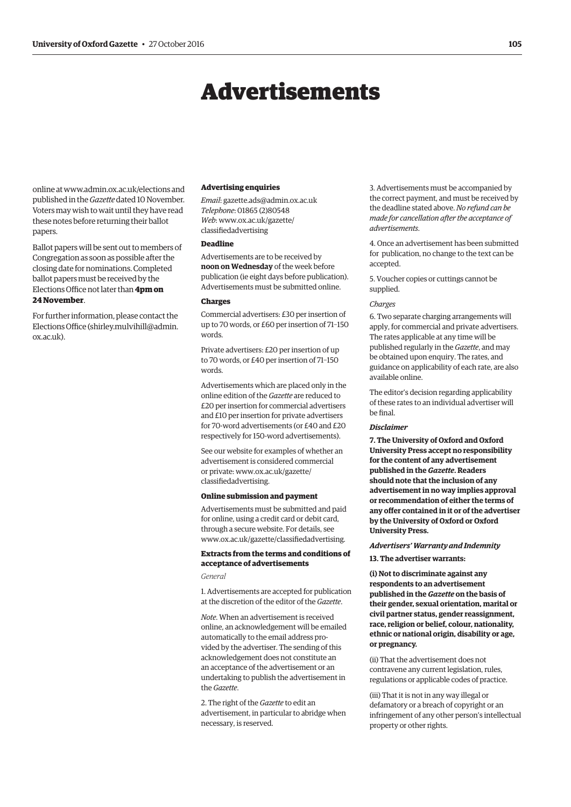## Advertisements

<span id="page-12-0"></span>online at [www.admin.ox.ac.uk/elections an](http://www.admin.ox.ac.uk/elections)d published in the *Gazette* dated 10 November. Voters may wish to wait until they have read these notes before returning their ballot papers.

Ballot papers will be sent out to members of Congregation as soon as possible after the closing date for nominations. Completed ballot papers must be received by the Elections Office not later than **4pm on 24 November**.

For further information, please contact the Elections Office [\(shirley.mulvihill@admin.](mailto:shirley.mulvihill@admin.ox.ac.uk) [ox.ac.uk\).](mailto:shirley.mulvihill@admin.ox.ac.uk)

#### **Advertising enquiries**

*Email*: [gazette.ads@admin.ox.ac.uk](mailto:gazette.ads@admin.ox.ac.uk) *Telephone*: 01865 (2)80548 *Web*[: www.ox.ac.uk/gazette/](www.ox.ac.uk/gazette/classifiedadvertising) classifiedadvertising

#### **Deadline**

Advertisements are to be received by **noon on Wednesday** of the week before publication (ie eight days before publication). Advertisements must be submitted online.

#### **Charges**

Commercial advertisers: £30 per insertion of up to 70 words, or £60 per insertion of 71–150 words.

Private advertisers: £20 per insertion of up to 70 words, or £40 per insertion of 71–150 words.

Advertisements which are placed only in the online edition of the *Gazette* are reduced to £20 per insertion for commercial advertisers and £10 per insertion for private advertisers for 70-word advertisements (or £40 and £20 respectively for 150-word advertisements).

See our website for examples of whether an advertisement is considered commercial [or private: www.ox.ac.uk/gazette/](www.ox.ac.uk/gazette/classifiedadvertising) classifiedadvertising.

#### **Online submission and payment**

Advertisements must be submitted and paid for online, using a credit card or debit card, through a secure website. For details, see [www.ox.ac.uk/gazette/classifiedadvertising.](http://www.ox.ac.uk/gazette/classifiedadvertising)

#### **Extracts from the terms and conditions of acceptance of advertisements**

#### *General*

1. Advertisements are accepted for publication at the discretion of the editor of the *Gazette*.

*Note*. When an advertisement is received online, an acknowledgement will be emailed automatically to the email address provided by the advertiser. The sending of this acknowledgement does not constitute an an acceptance of the advertisement or an undertaking to publish the advertisement in the *Gazette*.

2. The right of the *Gazette* to edit an advertisement, in particular to abridge when necessary, is reserved.

3. Advertisements must be accompanied by the correct payment, and must be received by the deadline stated above. *No refund can be made for cancellation after the acceptance of advertisements*.

4. Once an advertisement has been submitted for publication, no change to the text can be accepted.

5. Voucher copies or cuttings cannot be supplied.

#### *Charges*

6. Two separate charging arrangements will apply, for commercial and private advertisers. The rates applicable at any time will be published regularly in the *Gazette*, and may be obtained upon enquiry. The rates, and guidance on applicability of each rate, are also available online.

The editor's decision regarding applicability of these rates to an individual advertiser will be final.

#### *Disclaimer*

**7. The University of Oxford and Oxford University Press accept no responsibility for the content of any advertisement published in the** *Gazette***. Readers should note that the inclusion of any advertisement in no way implies approval or recommendation of either the terms of any offer contained in it or of the advertiser by the University of Oxford or Oxford University Press.**

#### *Advertisers' Warranty and Indemnity*

**13. The advertiser warrants:**

**(i) Not to discriminate against any respondents to an advertisement published in the** *Gazette* **on the basis of their gender, sexual orientation, marital or civil partner status, gender reassignment, race, religion or belief, colour, nationality, ethnic or national origin, disability or age, or pregnancy.**

(ii) That the advertisement does not contravene any current legislation, rules, regulations or applicable codes of practice.

(iii) That it is not in any way illegal or defamatory or a breach of copyright or an infringement of any other person's intellectual property or other rights.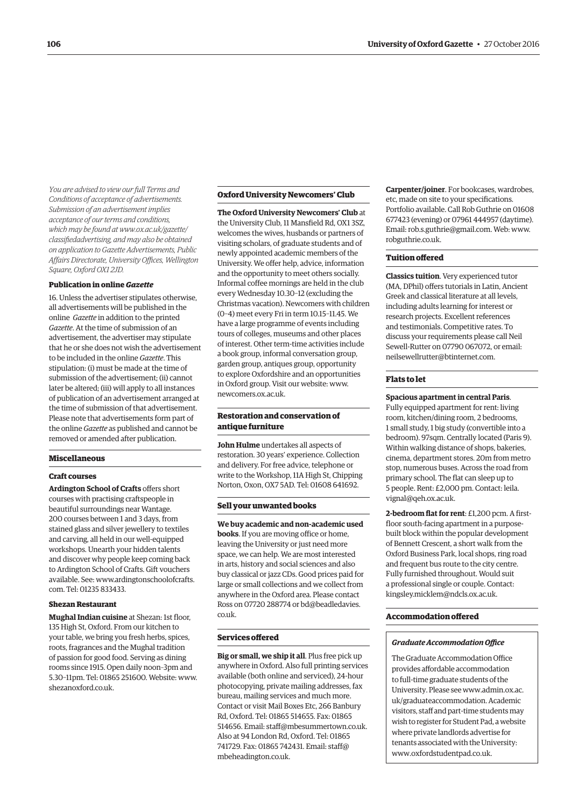*You are advised to view our full Terms and Conditions of acceptance of advertisements. Submission of an advertisement implies acceptance of our terms and conditions, which may be found at www.ox.ac.uk/gazette/ [classifiedadvertising, and may also be obtained](www.ox.ac.uk/gazette/classifiedadvertising)  on application to Gazette Advertisements, Public Affairs Directorate, University Offices, Wellington Square, Oxford OX1 2JD.*

#### **Publication in online** *Gazette*

16. Unless the advertiser stipulates otherwise, all advertisements will be published in the online *Gazette* in addition to the printed *Gazette*. At the time of submission of an advertisement, the advertiser may stipulate that he or she does not wish the advertisement to be included in the online *Gazette*. This stipulation: (i) must be made at the time of submission of the advertisement; (ii) cannot later be altered; (iii) will apply to all instances of publication of an advertisement arranged at the time of submission of that advertisement. Please note that advertisements form part of the online *Gazette* as published and cannot be removed or amended after publication.

#### **Miscellaneous**

#### **Craft courses**

**Ardington School of Crafts** offers short courses with practising craftspeople in beautiful surroundings near Wantage. 200 courses between 1 and 3 days, from stained glass and silver jewellery to textiles and carving, all held in our well-equipped workshops. Unearth your hidden talents and discover why people keep coming back to Ardington School of Crafts. Gift vouchers [available. See: www.ardingtonschoolofcrafts.](www.ardingtonschoolofcrafts.com) com. Tel: 01235 833433.

#### **Shezan Restaurant**

**Mughal Indian cuisine** at Shezan: 1st floor, 135 High St, Oxford. From our kitchen to your table, we bring you fresh herbs, spices, roots, fragrances and the Mughal tradition of passion for good food. Serving as dining rooms since 1915. Open daily noon–3pm and 5.30–11pm. Tel: 01865 251600. Website: [www.](http://www.shezanoxford.co.uk) [shezanoxford.co.uk.](http://www.shezanoxford.co.uk)

#### **Oxford University Newcomers' Club**

**The Oxford University Newcomers' Club** at the University Club, 11 Mansfield Rd, OX1 3SZ, welcomes the wives, husbands or partners of visiting scholars, of graduate students and of newly appointed academic members of the University. We offer help, advice, information and the opportunity to meet others socially. Informal coffee mornings are held in the club every Wednesday 10.30–12 (excluding the Christmas vacation). Newcomers with children (0–4) meet every Fri in term 10.15–11.45. We have a large programme of events including tours of colleges, museums and other places of interest. Other term-time activities include a book group, informal conversation group, garden group, antiques group, opportunity to explore Oxfordshire and an opportunities in Oxford group. Visit our website: [www.](http://www.newcomers.ox.ac.uk) [newcomers.ox.ac.uk.](http://www.newcomers.ox.ac.uk)

#### **Restoration and conservation of antique furniture**

**John Hulme** undertakes all aspects of restoration. 30 years' experience. Collection and delivery. For free advice, telephone or write to the Workshop, 11A High St, Chipping Norton, Oxon, OX7 5AD. Tel: 01608 641692.

#### **Sell your unwanted books**

**We buy academic and non-academic used books**. If you are moving office or home, leaving the University or just need more space, we can help. We are most interested in arts, history and social sciences and also buy classical or jazz CDs. Good prices paid for large or small collections and we collect from anywhere in the Oxford area. Please contact [Ross on 07720 288774 or bd@beadledavies.](mailto:bd@beadledavies.co.uk) co.uk.

#### **Services offered**

**Big or small, we ship it all**. Plus free pick up anywhere in Oxford. Also full printing services available (both online and serviced), 24-hour photocopying, private mailing addresses, fax bureau, mailing services and much more. Contact or visit Mail Boxes Etc, 266 Banbury Rd, Oxford. Tel: 01865 514655. Fax: 01865 514656. Email: [staff@mbesummertown.co.uk.](mailto:staff@mbesummertown.co.uk)  Also at 94 London Rd, Oxford. Tel: 01865 [741729. Fax: 01865 742431. Email: staff@](mailto:staff@mbeheadington.co.uk) mbeheadington.co.uk.

**Carpenter/joiner**. For bookcases, wardrobes, etc, made on site to your specifications. Portfolio available. Call Rob Guthrie on 01608 677423 (evening) or 07961 444957 (daytime). Email: [rob.s.guthrie@gmail.com. W](mailto:rob.s.guthrie@gmail.com)eb: [www.](http://www.robguthrie.co.uk) [robguthrie.co.uk.](http://www.robguthrie.co.uk)

#### **Tuition offered**

**Classics tuition**. Very experienced tutor (MA, DPhil) offers tutorials in Latin, Ancient Greek and classical literature at all levels, including adults learning for interest or research projects. Excellent references and testimonials. Competitive rates. To discuss your requirements please call Neil Sewell-Rutter on 07790 067072, or email: [neilsewellrutter@btinternet.com.](mailto:neilsewellrutter@btinternet.com)

#### **Flats to let**

#### **Spacious apartment in central Paris**.

Fully equipped apartment for rent: living room, kitchen/dining room, 2 bedrooms, 1 small study, 1 big study (convertible into a bedroom). 97sqm. Centrally located (Paris 9). Within walking distance of shops, bakeries, cinema, department stores. 20m from metro stop, numerous buses. Across the road from primary school. The flat can sleep up to [5 people. Rent: £2,000 pm. Contact: leila.](mailto:leila.vignal@qeh.ox.ac.uk) vignal@qeh.ox.ac.uk.

**2-bedroom flat for rent**: £1,200 pcm. A firstfloor south-facing apartment in a purposebuilt block within the popular development of Bennett Crescent, a short walk from the Oxford Business Park, local shops, ring road and frequent bus route to the city centre. Fully furnished throughout. Would suit a professional single or couple. Contact: [kingsley.micklem@ndcls.ox.ac.uk.](mailto:kingsley.micklem@ndcls.ox.ac.uk)

#### **Accommodation offered**

#### *Graduate Accommodation Office*

The Graduate Accommodation Office provides affordable accommodation to full-time graduate students of the [University. Please see www.admin.ox.ac.](www.admin.ox.ac.uk/graduateaccommodation) uk/graduateaccommodation. Academic visitors, staff and part-time students may wish to register for Student Pad, a website where private landlords advertise for tenants associated with the University: [www.oxfordstudentpad.co.uk.](http://www.oxfordstudentpad.co.uk)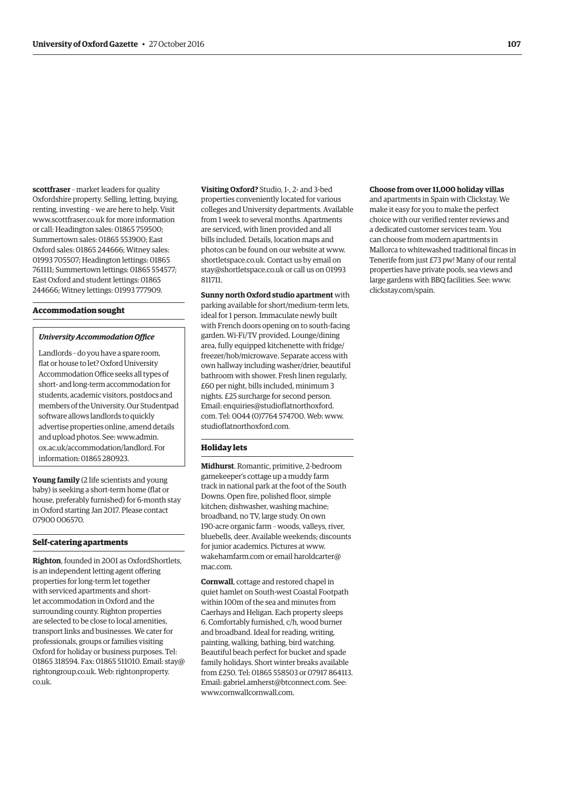**scottfraser** – market leaders for quality Oxfordshire property. Selling, letting, buying, renting, investing – we are here to help. Visit [www.scottfraser.co.uk fo](http://www.scottfraser.co.uk)r more information or call: Headington sales: 01865 759500; Summertown sales: 01865 553900; East Oxford sales: 01865 244666; Witney sales: 01993 705507; Headington lettings: 01865 761111; Summertown lettings: 01865 554577; East Oxford and student lettings: 01865 244666; Witney lettings: 01993 777909.

#### **Accommodation sought**

#### *University Accommodation Office*

Landlords – do you have a spare room, flat or house to let? Oxford University Accommodation Office seeks all types of short- and long-term accommodation for students, academic visitors, postdocs and members of the University. Our Studentpad software allows landlords to quickly advertise properties online, amend details and upload photos. See: www.admin. [ox.ac.uk/accommodation/landlord. For](www.admin.ox.ac.uk/accommodation/landlord)  information: 01865 280923.

**Young family** (2 life scientists and young baby) is seeking a short-term home (flat or house, preferably furnished) for 6-month stay in Oxford starting Jan 2017. Please contact 07900 006570.

#### **Self-catering apartments**

**Righton**, founded in 2001 as OxfordShortlets, is an independent letting agent offering properties for long-term let together with serviced apartments and shortlet accommodation in Oxford and the surrounding county. Righton properties are selected to be close to local amenities, transport links and businesses. We cater for professionals, groups or families visiting Oxford for holiday or business purposes. Tel: 01865 318594. Fax: 01865 [511010. Email: stay@](mailto:stay@rightongroup.co.uk) [rightongroup.co.uk](mailto:stay@rightongroup.co.uk). [Web: rightonproperty.](www.rightonproperty.co.uk) co.uk.

**Visiting Oxford?** Studio, 1-, 2- and 3-bed properties conveniently located for various colleges and University departments. Available from 1 week to several months. Apartments are serviced, with linen provided and all bills included. Details, location maps and photos can be found on our website at [www.](http://www.shortletspace.co.uk) [shortletspace.co.uk. Co](http://www.shortletspace.co.uk)ntact us by email on [stay@shortletspace.co.uk or](mailto:stay@shortletspace.co.uk) call us on 01993 811711.

**Sunny north Oxford studio apartment** with parking available for short/medium-term lets, ideal for 1 person. Immaculate newly built with French doors opening on to south-facing garden. Wi-Fi/TV provided. Lounge/dining area, fully equipped kitchenette with fridge/ freezer/hob/microwave. Separate access with own hallway including washer/drier, beautiful bathroom with shower. Fresh linen regularly, £60 per night, bills included, minimum 3 nights. £25 surcharge for second person. [Email: enquiries@studioflatnorthoxford.](mailto:enquiries@studioflatnorthoxford.com) com. Tel: 0044 (0)7764 574700. Web: [www.](http://www.studioflatnorthoxford.com) [studioflatnorthoxford.com.](http://www.studioflatnorthoxford.com)

#### **Holiday lets**

**Midhurst**. Romantic, primitive, 2-bedroom gamekeeper's cottage up a muddy farm track in national park at the foot of the South Downs. Open fire, polished floor, simple kitchen; dishwasher, washing machine; broadband, no TV, large study. On own 190-acre organic farm – woods, valleys, river, bluebells, deer. Available weekends; discounts for junior academics. Pictures at [www.](http://www.wakehamfarm.com) [wakehamfarm.com or](http://www.wakehamfarm.com) [email haroldcarter@](mailto:haroldcarter@mac.com) mac.com.

**Cornwall**, cottage and restored chapel in quiet hamlet on South-west Coastal Footpath within 100m of the sea and minutes from Caerhays and Heligan. Each property sleeps 6. Comfortably furnished, c/h, wood burner and broadband. Ideal for reading, writing, painting, walking, bathing, bird watching. Beautiful beach perfect for bucket and spade family holidays. Short winter breaks available from £250. Tel: 01865 558503 or 07917 864113. Email: [gabriel.amherst@btconnect.com. Se](mailto:gabriel.amherst@btconnect.com)e: [www.cornwallcornwall.com.](http://www.cornwallcornwall.com)

#### **Choose from over 11,000 holiday villas** and apartments in Spain with Clickstay. We make it easy for you to make the perfect choice with our verified renter reviews and a dedicated customer services team. You can choose from modern apartments in

Mallorca to whitewashed traditional fincas in Tenerife from just £73 pw! Many of our rental properties have private pools, sea views and large gardens with BBQ facilities. See: [www.](http://www.clickstay.com/spain) [clickstay.com/spain.](http://www.clickstay.com/spain)